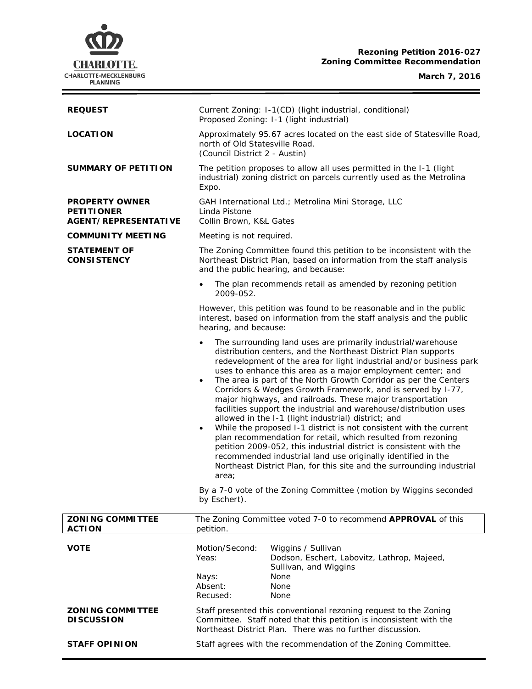## **Rezoning Petition 2016-027 Zoning Committee Recommendation**

### **March 7, 2016**

 $=$ 



| <b>REQUEST</b>                                                            | Current Zoning: I-1(CD) (light industrial, conditional)<br>Proposed Zoning: I-1 (light industrial)                                                                                                                                                                                                                                                                                                                                                                                                                                                                                                                                                                                                                                                                                                                                                                                                                                                                                                                                                                                 |
|---------------------------------------------------------------------------|------------------------------------------------------------------------------------------------------------------------------------------------------------------------------------------------------------------------------------------------------------------------------------------------------------------------------------------------------------------------------------------------------------------------------------------------------------------------------------------------------------------------------------------------------------------------------------------------------------------------------------------------------------------------------------------------------------------------------------------------------------------------------------------------------------------------------------------------------------------------------------------------------------------------------------------------------------------------------------------------------------------------------------------------------------------------------------|
| <b>LOCATION</b>                                                           | Approximately 95.67 acres located on the east side of Statesville Road,<br>north of Old Statesville Road.<br>(Council District 2 - Austin)                                                                                                                                                                                                                                                                                                                                                                                                                                                                                                                                                                                                                                                                                                                                                                                                                                                                                                                                         |
| <b>SUMMARY OF PETITION</b>                                                | The petition proposes to allow all uses permitted in the I-1 (light<br>industrial) zoning district on parcels currently used as the Metrolina<br>Expo.                                                                                                                                                                                                                                                                                                                                                                                                                                                                                                                                                                                                                                                                                                                                                                                                                                                                                                                             |
| <b>PROPERTY OWNER</b><br><b>PETITIONER</b><br><b>AGENT/REPRESENTATIVE</b> | GAH International Ltd.; Metrolina Mini Storage, LLC<br>Linda Pistone<br>Collin Brown, K&L Gates                                                                                                                                                                                                                                                                                                                                                                                                                                                                                                                                                                                                                                                                                                                                                                                                                                                                                                                                                                                    |
| <b>COMMUNITY MEETING</b>                                                  | Meeting is not required.                                                                                                                                                                                                                                                                                                                                                                                                                                                                                                                                                                                                                                                                                                                                                                                                                                                                                                                                                                                                                                                           |
| <b>STATEMENT OF</b><br><b>CONSISTENCY</b>                                 | The Zoning Committee found this petition to be inconsistent with the<br>Northeast District Plan, based on information from the staff analysis<br>and the public hearing, and because:                                                                                                                                                                                                                                                                                                                                                                                                                                                                                                                                                                                                                                                                                                                                                                                                                                                                                              |
|                                                                           | The plan recommends retail as amended by rezoning petition<br>$\bullet$<br>2009-052.                                                                                                                                                                                                                                                                                                                                                                                                                                                                                                                                                                                                                                                                                                                                                                                                                                                                                                                                                                                               |
|                                                                           | However, this petition was found to be reasonable and in the public<br>interest, based on information from the staff analysis and the public<br>hearing, and because:                                                                                                                                                                                                                                                                                                                                                                                                                                                                                                                                                                                                                                                                                                                                                                                                                                                                                                              |
|                                                                           | The surrounding land uses are primarily industrial/warehouse<br>$\bullet$<br>distribution centers, and the Northeast District Plan supports<br>redevelopment of the area for light industrial and/or business park<br>uses to enhance this area as a major employment center; and<br>The area is part of the North Growth Corridor as per the Centers<br>٠<br>Corridors & Wedges Growth Framework, and is served by I-77,<br>major highways, and railroads. These major transportation<br>facilities support the industrial and warehouse/distribution uses<br>allowed in the I-1 (light industrial) district; and<br>While the proposed I-1 district is not consistent with the current<br>$\bullet$<br>plan recommendation for retail, which resulted from rezoning<br>petition 2009-052, this industrial district is consistent with the<br>recommended industrial land use originally identified in the<br>Northeast District Plan, for this site and the surrounding industrial<br>area;<br>By a 7-0 vote of the Zoning Committee (motion by Wiggins seconded<br>by Eschert). |
| <b>ZONING COMMITTEE</b><br><b>ACTION</b>                                  | The Zoning Committee voted 7-0 to recommend APPROVAL of this<br>petition.                                                                                                                                                                                                                                                                                                                                                                                                                                                                                                                                                                                                                                                                                                                                                                                                                                                                                                                                                                                                          |
| <b>VOTE</b>                                                               | Motion/Second:<br>Wiggins / Sullivan<br>Yeas:<br>Dodson, Eschert, Labovitz, Lathrop, Majeed,<br>Sullivan, and Wiggins<br>Nays:<br>None<br>Absent:<br>None<br>Recused:<br><b>None</b>                                                                                                                                                                                                                                                                                                                                                                                                                                                                                                                                                                                                                                                                                                                                                                                                                                                                                               |
| <b>ZONING COMMITTEE</b><br><b>DISCUSSION</b>                              | Staff presented this conventional rezoning request to the Zoning<br>Committee. Staff noted that this petition is inconsistent with the<br>Northeast District Plan. There was no further discussion.                                                                                                                                                                                                                                                                                                                                                                                                                                                                                                                                                                                                                                                                                                                                                                                                                                                                                |
| <b>STAFF OPINION</b>                                                      | Staff agrees with the recommendation of the Zoning Committee.                                                                                                                                                                                                                                                                                                                                                                                                                                                                                                                                                                                                                                                                                                                                                                                                                                                                                                                                                                                                                      |